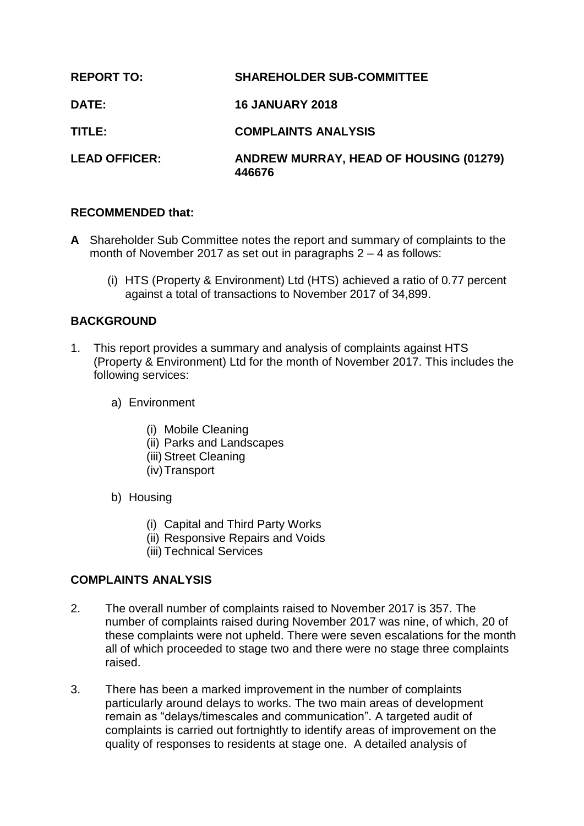| <b>REPORT TO:</b>    | <b>SHAREHOLDER SUB-COMMITTEE</b>                 |
|----------------------|--------------------------------------------------|
| <b>DATE:</b>         | <b>16 JANUARY 2018</b>                           |
| TITLE: I             | <b>COMPLAINTS ANALYSIS</b>                       |
| <b>LEAD OFFICER:</b> | ANDREW MURRAY, HEAD OF HOUSING (01279)<br>446676 |

#### **RECOMMENDED that:**

- **A** Shareholder Sub Committee notes the report and summary of complaints to the month of November 2017 as set out in paragraphs 2 – 4 as follows:
	- (i) HTS (Property & Environment) Ltd (HTS) achieved a ratio of 0.77 percent against a total of transactions to November 2017 of 34,899.

# **BACKGROUND**

- 1. This report provides a summary and analysis of complaints against HTS (Property & Environment) Ltd for the month of November 2017. This includes the following services:
	- a) Environment
		- (i) Mobile Cleaning
		- (ii) Parks and Landscapes
		- (iii) Street Cleaning
		- (iv) Transport
	- b) Housing
		- (i) Capital and Third Party Works
		- (ii) Responsive Repairs and Voids
		- (iii) Technical Services

# **COMPLAINTS ANALYSIS**

- 2. The overall number of complaints raised to November 2017 is 357. The number of complaints raised during November 2017 was nine, of which, 20 of these complaints were not upheld. There were seven escalations for the month all of which proceeded to stage two and there were no stage three complaints raised.
- 3. There has been a marked improvement in the number of complaints particularly around delays to works. The two main areas of development remain as "delays/timescales and communication". A targeted audit of complaints is carried out fortnightly to identify areas of improvement on the quality of responses to residents at stage one. A detailed analysis of